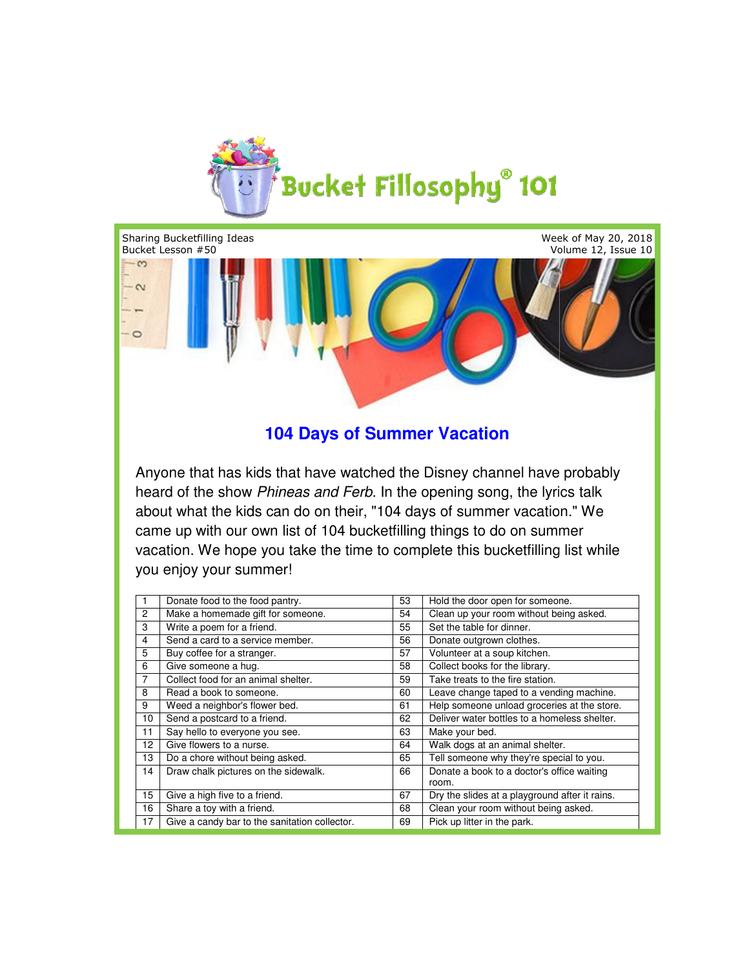

Week of May 20, 2018 Sharing Bucketfilling Ideas Bucket Lesson #50 Volume 12, Issue 10  $\sim$  $\sim$  $\circ$ 

## **104 Days of Summer Vacation 104**

Anyone that has kids that have watched the Disney channel have probably heard of the show Phineas and Ferb. In the opening song, the lyrics talk about what the kids can do on their, "104 days of summer vacation." We came up with our own list of 104 bucketfilling things to do on summer vacation. We hope you take the time to complete this bucketfilling list whil you enjoy your summer! came up with our own list of 104 bucketfilling things to do<br>vacation. We hope you take the time to complete this bucl<br>you enjoy your summer! lyrics talk<br>ttion." We<br>ımmer<br>ing list while

|                 | Donate food to the food pantry.               | 53 | Hold the door open for someone.                     |
|-----------------|-----------------------------------------------|----|-----------------------------------------------------|
|                 |                                               |    |                                                     |
| 2               | Make a homemade gift for someone.             | 54 | Clean up your room without being asked.             |
| 3               | Write a poem for a friend.                    | 55 | Set the table for dinner.                           |
| 4               | Send a card to a service member.              | 56 | Donate outgrown clothes.                            |
| 5               | Buy coffee for a stranger.                    | 57 | Volunteer at a soup kitchen.                        |
| 6               | Give someone a hug.                           | 58 | Collect books for the library.                      |
| 7               | Collect food for an animal shelter.           | 59 | Take treats to the fire station.                    |
| 8               | Read a book to someone.                       | 60 | Leave change taped to a vending machine.            |
| 9               | Weed a neighbor's flower bed.                 | 61 | Help someone unload groceries at the store.         |
| 10 <sup>1</sup> | Send a postcard to a friend.                  | 62 | Deliver water bottles to a homeless shelter.        |
| 11              | Say hello to everyone you see.                | 63 | Make your bed.                                      |
| 12              | Give flowers to a nurse.                      | 64 | Walk dogs at an animal shelter.                     |
| 13              | Do a chore without being asked.               | 65 | Tell someone why they're special to you.            |
| 14              | Draw chalk pictures on the sidewalk.          | 66 | Donate a book to a doctor's office waiting<br>room. |
| 15              | Give a high five to a friend.                 | 67 | Dry the slides at a playground after it rains.      |
| 16              | Share a toy with a friend.                    | 68 | Clean your room without being asked.                |
| 17              | Give a candy bar to the sanitation collector. | 69 | Pick up litter in the park.                         |